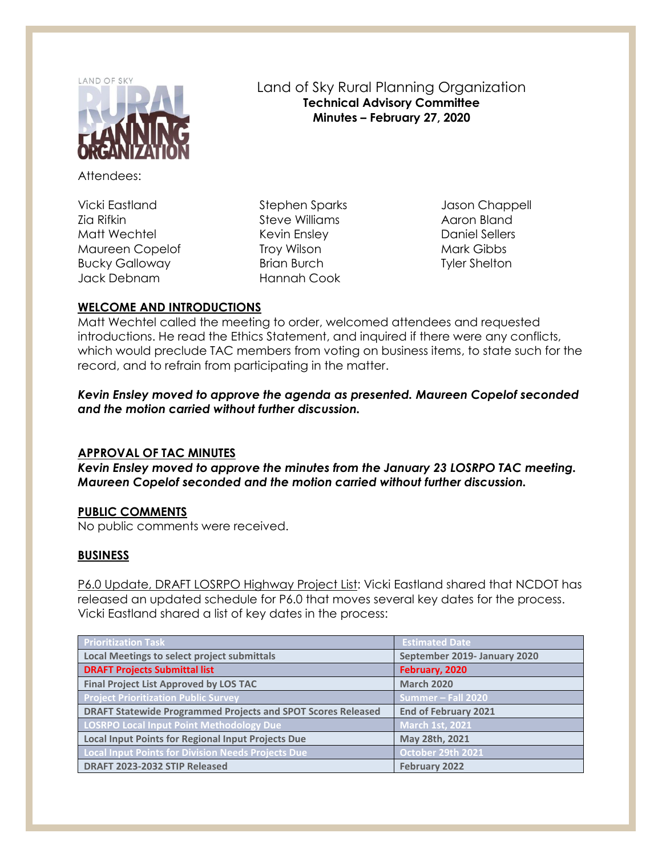

Attendees:

Vicki Eastland Zia Rifkin Matt Wechtel Maureen Copelof Bucky Galloway Jack Debnam

Stephen Sparks Steve Williams Kevin Ensley Troy Wilson Brian Burch Hannah Cook

Jason Chappell Aaron Bland Daniel Sellers Mark Gibbs Tyler Shelton

# **WELCOME AND INTRODUCTIONS**

Matt Wechtel called the meeting to order, welcomed attendees and requested introductions. He read the Ethics Statement, and inquired if there were any conflicts, which would preclude TAC members from voting on business items, to state such for the record, and to refrain from participating in the matter.

Land of Sky Rural Planning Organization **Technical Advisory Committee Minutes – February 27, 2020**

*Kevin Ensley moved to approve the agenda as presented. Maureen Copelof seconded and the motion carried without further discussion.*

### **APPROVAL OF TAC MINUTES**

*Kevin Ensley moved to approve the minutes from the January 23 LOSRPO TAC meeting. Maureen Copelof seconded and the motion carried without further discussion.*

# **PUBLIC COMMENTS**

No public comments were received.

# **BUSINESS**

P6.0 Update, DRAFT LOSRPO Highway Project List: Vicki Eastland shared that NCDOT has released an updated schedule for P6.0 that moves several key dates for the process. Vicki Eastland shared a list of key dates in the process:

| <b>Prioritization Task</b>                                          | <b>Estimated Date</b>        |
|---------------------------------------------------------------------|------------------------------|
| <b>Local Meetings to select project submittals</b>                  | September 2019- January 2020 |
| <b>DRAFT Projects Submittal list</b>                                | February, 2020               |
| <b>Final Project List Approved by LOS TAC</b>                       | <b>March 2020</b>            |
| <b>Project Prioritization Public Survey</b>                         | Summer - Fall 2020           |
| <b>DRAFT Statewide Programmed Projects and SPOT Scores Released</b> | <b>End of February 2021</b>  |
| <b>LOSRPO Local Input Point Methodology Due</b>                     | <b>March 1st, 2021</b>       |
| <b>Local Input Points for Regional Input Projects Due</b>           | May 28th, 2021               |
| <b>Local Input Points for Division Needs Projects Due</b>           | October 29th 2021            |
| DRAFT 2023-2032 STIP Released                                       | February 2022                |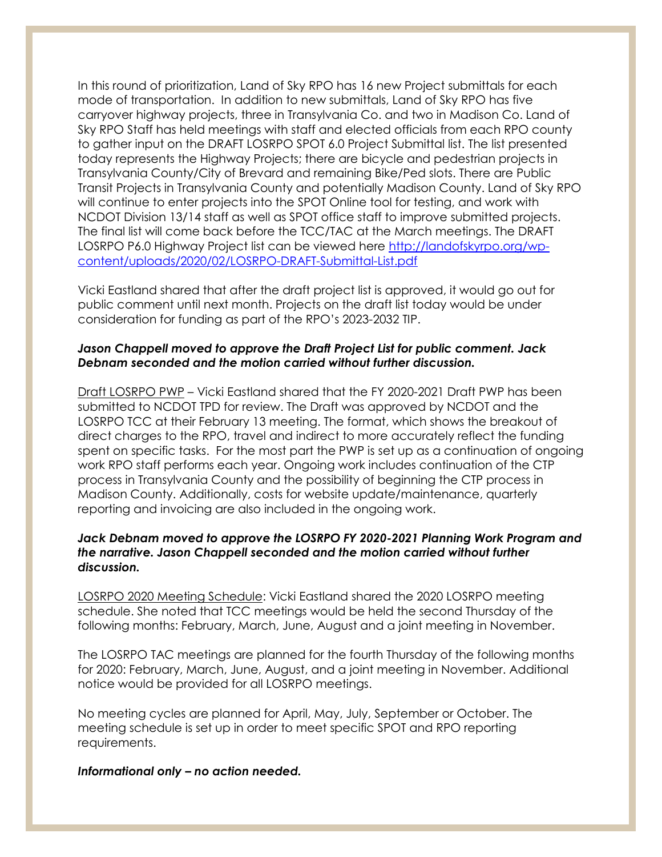In this round of prioritization, Land of Sky RPO has 16 new Project submittals for each mode of transportation. In addition to new submittals, Land of Sky RPO has five carryover highway projects, three in Transylvania Co. and two in Madison Co. Land of Sky RPO Staff has held meetings with staff and elected officials from each RPO county to gather input on the DRAFT LOSRPO SPOT 6.0 Project Submittal list. The list presented today represents the Highway Projects; there are bicycle and pedestrian projects in Transylvania County/City of Brevard and remaining Bike/Ped slots. There are Public Transit Projects in Transylvania County and potentially Madison County. Land of Sky RPO will continue to enter projects into the SPOT Online tool for testing, and work with NCDOT Division 13/14 staff as well as SPOT office staff to improve submitted projects. The final list will come back before the TCC/TAC at the March meetings. The DRAFT LOSRPO P6.0 Highway Project list can be viewed here [http://landofskyrpo.org/wp](http://landofskyrpo.org/wp-content/uploads/2020/02/LOSRPO-DRAFT-Submittal-List.pdf)[content/uploads/2020/02/LOSRPO-DRAFT-Submittal-List.pdf](http://landofskyrpo.org/wp-content/uploads/2020/02/LOSRPO-DRAFT-Submittal-List.pdf)

Vicki Eastland shared that after the draft project list is approved, it would go out for public comment until next month. Projects on the draft list today would be under consideration for funding as part of the RPO's 2023-2032 TIP.

### *Jason Chappell moved to approve the Draft Project List for public comment. Jack Debnam seconded and the motion carried without further discussion.*

Draft LOSRPO PWP – Vicki Eastland shared that the FY 2020-2021 Draft PWP has been submitted to NCDOT TPD for review. The Draft was approved by NCDOT and the LOSRPO TCC at their February 13 meeting. The format, which shows the breakout of direct charges to the RPO, travel and indirect to more accurately reflect the funding spent on specific tasks. For the most part the PWP is set up as a continuation of ongoing work RPO staff performs each year. Ongoing work includes continuation of the CTP process in Transylvania County and the possibility of beginning the CTP process in Madison County. Additionally, costs for website update/maintenance, quarterly reporting and invoicing are also included in the ongoing work.

### *Jack Debnam moved to approve the LOSRPO FY 2020-2021 Planning Work Program and the narrative. Jason Chappell seconded and the motion carried without further discussion.*

LOSRPO 2020 Meeting Schedule: Vicki Eastland shared the 2020 LOSRPO meeting schedule. She noted that TCC meetings would be held the second Thursday of the following months: February, March, June, August and a joint meeting in November.

The LOSRPO TAC meetings are planned for the fourth Thursday of the following months for 2020: February, March, June, August, and a joint meeting in November. Additional notice would be provided for all LOSRPO meetings.

No meeting cycles are planned for April, May, July, September or October. The meeting schedule is set up in order to meet specific SPOT and RPO reporting requirements.

*Informational only – no action needed.*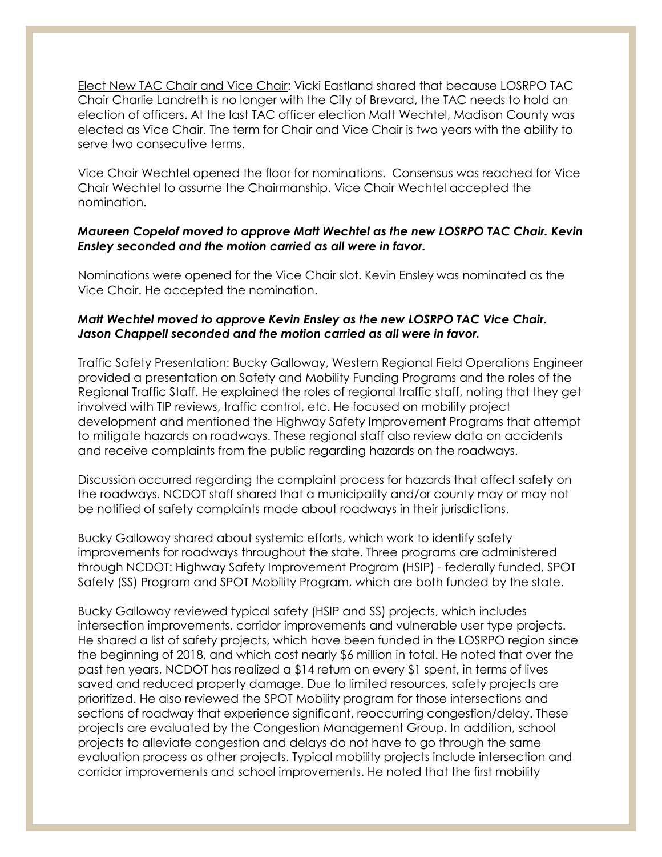Elect New TAC Chair and Vice Chair: Vicki Eastland shared that because LOSRPO TAC Chair Charlie Landreth is no longer with the City of Brevard, the TAC needs to hold an election of officers. At the last TAC officer election Matt Wechtel, Madison County was elected as Vice Chair. The term for Chair and Vice Chair is two years with the ability to serve two consecutive terms.

Vice Chair Wechtel opened the floor for nominations. Consensus was reached for Vice Chair Wechtel to assume the Chairmanship. Vice Chair Wechtel accepted the nomination.

### *Maureen Copelof moved to approve Matt Wechtel as the new LOSRPO TAC Chair. Kevin Ensley seconded and the motion carried as all were in favor.*

Nominations were opened for the Vice Chair slot. Kevin Ensley was nominated as the Vice Chair. He accepted the nomination.

### *Matt Wechtel moved to approve Kevin Ensley as the new LOSRPO TAC Vice Chair. Jason Chappell seconded and the motion carried as all were in favor.*

Traffic Safety Presentation: Bucky Galloway, Western Regional Field Operations Engineer provided a presentation on Safety and Mobility Funding Programs and the roles of the Regional Traffic Staff. He explained the roles of regional traffic staff, noting that they get involved with TIP reviews, traffic control, etc. He focused on mobility project development and mentioned the Highway Safety Improvement Programs that attempt to mitigate hazards on roadways. These regional staff also review data on accidents and receive complaints from the public regarding hazards on the roadways.

Discussion occurred regarding the complaint process for hazards that affect safety on the roadways. NCDOT staff shared that a municipality and/or county may or may not be notified of safety complaints made about roadways in their jurisdictions.

Bucky Galloway shared about systemic efforts, which work to identify safety improvements for roadways throughout the state. Three programs are administered through NCDOT: Highway Safety Improvement Program (HSIP) - federally funded, SPOT Safety (SS) Program and SPOT Mobility Program, which are both funded by the state.

Bucky Galloway reviewed typical safety (HSIP and SS) projects, which includes intersection improvements, corridor improvements and vulnerable user type projects. He shared a list of safety projects, which have been funded in the LOSRPO region since the beginning of 2018, and which cost nearly \$6 million in total. He noted that over the past ten years, NCDOT has realized a \$14 return on every \$1 spent, in terms of lives saved and reduced property damage. Due to limited resources, safety projects are prioritized. He also reviewed the SPOT Mobility program for those intersections and sections of roadway that experience significant, reoccurring congestion/delay. These projects are evaluated by the Congestion Management Group. In addition, school projects to alleviate congestion and delays do not have to go through the same evaluation process as other projects. Typical mobility projects include intersection and corridor improvements and school improvements. He noted that the first mobility